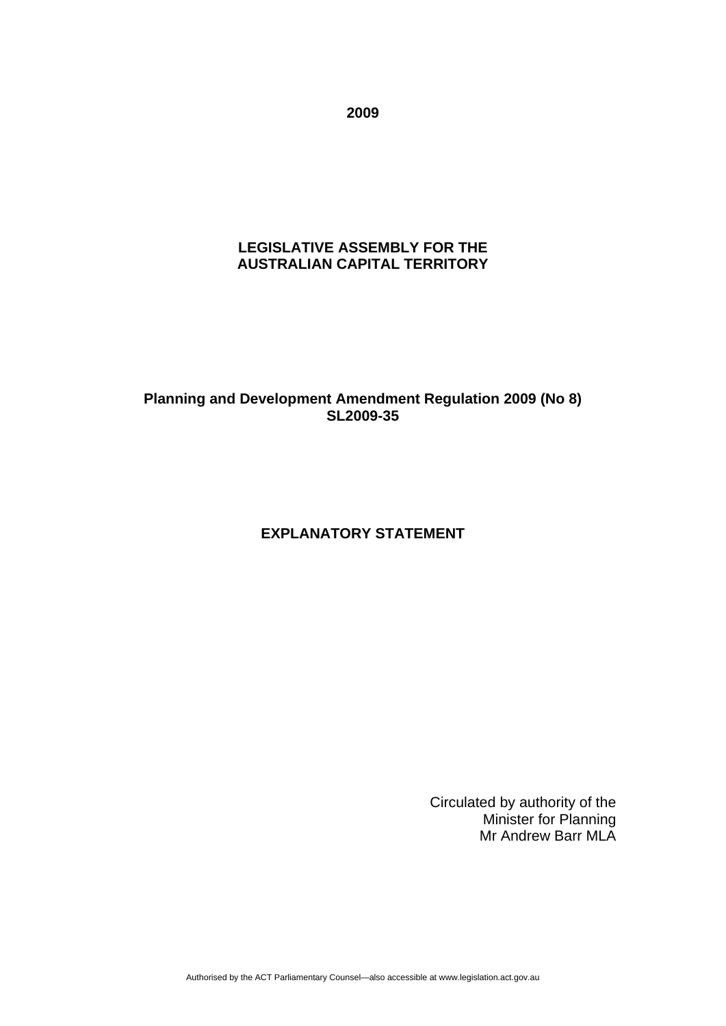**2009** 

# **LEGISLATIVE ASSEMBLY FOR THE AUSTRALIAN CAPITAL TERRITORY**

# **Planning and Development Amendment Regulation 2009 (No 8) SL2009-35**

# **EXPLANATORY STATEMENT**

Circulated by authority of the Minister for Planning Mr Andrew Barr MLA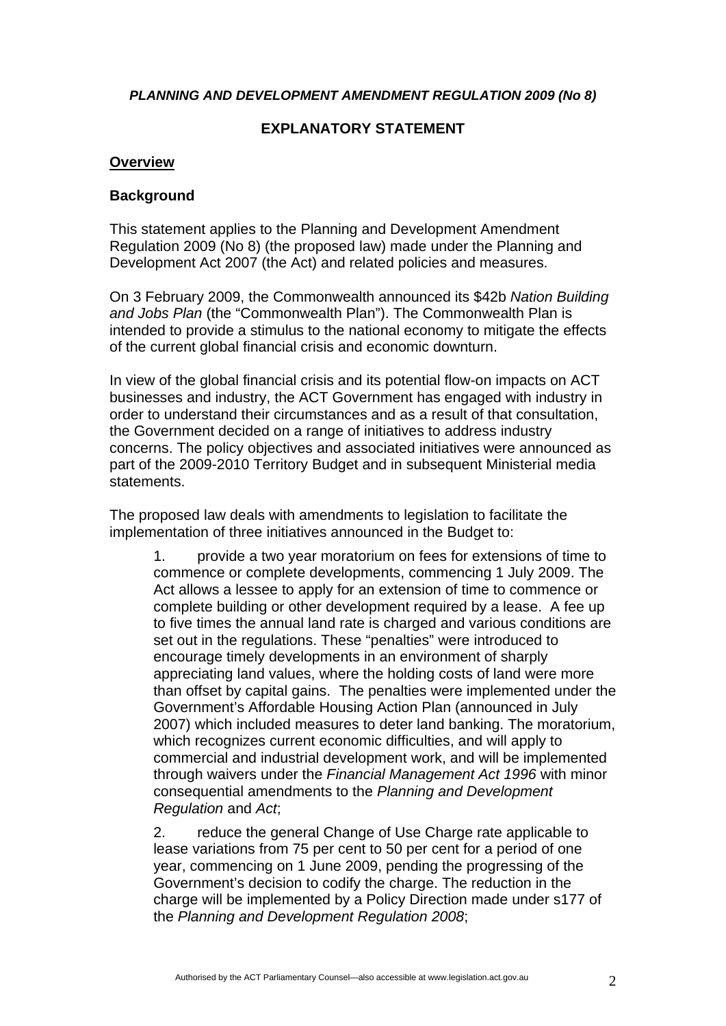#### *PLANNING AND DEVELOPMENT AMENDMENT REGULATION 2009 (No 8)*

## **EXPLANATORY STATEMENT**

#### **Overview**

#### **Background**

This statement applies to the Planning and Development Amendment Regulation 2009 (No 8) (the proposed law) made under the Planning and Development Act 2007 (the Act) and related policies and measures.

On 3 February 2009, the Commonwealth announced its \$42b *Nation Building and Jobs Plan* (the "Commonwealth Plan"). The Commonwealth Plan is intended to provide a stimulus to the national economy to mitigate the effects of the current global financial crisis and economic downturn.

In view of the global financial crisis and its potential flow-on impacts on ACT businesses and industry, the ACT Government has engaged with industry in order to understand their circumstances and as a result of that consultation, the Government decided on a range of initiatives to address industry concerns. The policy objectives and associated initiatives were announced as part of the 2009-2010 Territory Budget and in subsequent Ministerial media statements.

The proposed law deals with amendments to legislation to facilitate the implementation of three initiatives announced in the Budget to:

1. provide a two year moratorium on fees for extensions of time to commence or complete developments, commencing 1 July 2009. The Act allows a lessee to apply for an extension of time to commence or complete building or other development required by a lease. A fee up to five times the annual land rate is charged and various conditions are set out in the regulations. These "penalties" were introduced to encourage timely developments in an environment of sharply appreciating land values, where the holding costs of land were more than offset by capital gains. The penalties were implemented under the Government's Affordable Housing Action Plan (announced in July 2007) which included measures to deter land banking. The moratorium, which recognizes current economic difficulties, and will apply to commercial and industrial development work, and will be implemented through waivers under the *Financial Management Act 1996* with minor consequential amendments to the *Planning and Development Regulation* and *Act*;

2. reduce the general Change of Use Charge rate applicable to lease variations from 75 per cent to 50 per cent for a period of one year, commencing on 1 June 2009, pending the progressing of the Government's decision to codify the charge. The reduction in the charge will be implemented by a Policy Direction made under s177 of the *Planning and Development Regulation 2008*;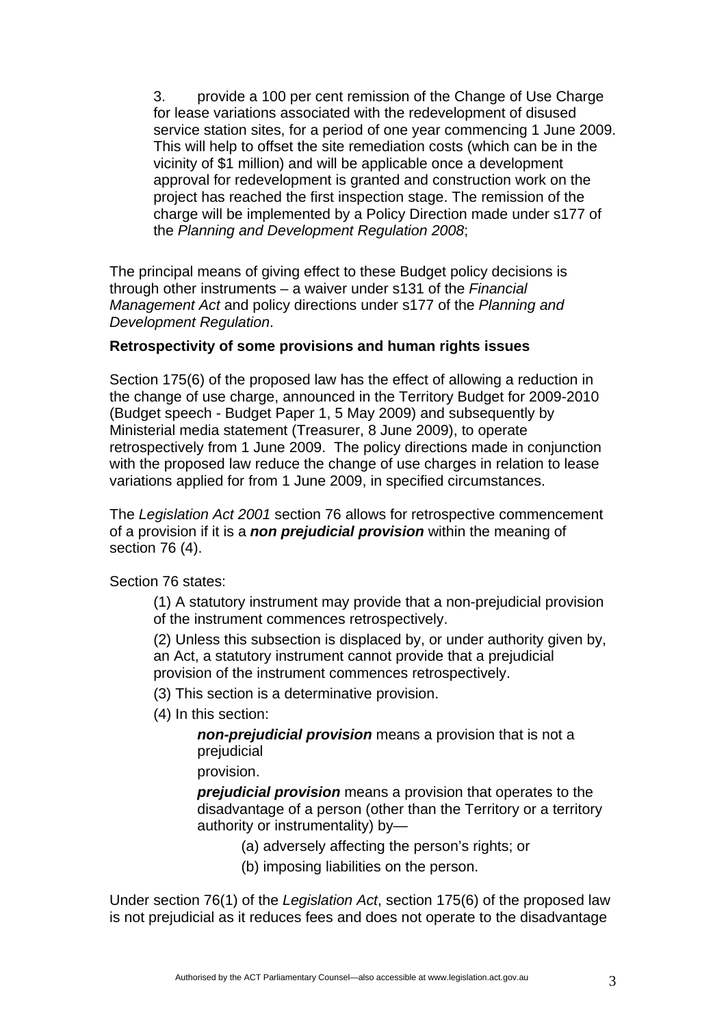3. provide a 100 per cent remission of the Change of Use Charge for lease variations associated with the redevelopment of disused service station sites, for a period of one year commencing 1 June 2009. This will help to offset the site remediation costs (which can be in the vicinity of \$1 million) and will be applicable once a development approval for redevelopment is granted and construction work on the project has reached the first inspection stage. The remission of the charge will be implemented by a Policy Direction made under s177 of the *Planning and Development Regulation 2008*;

The principal means of giving effect to these Budget policy decisions is through other instruments – a waiver under s131 of the *Financial Management Act* and policy directions under s177 of the *Planning and Development Regulation*.

## **Retrospectivity of some provisions and human rights issues**

Section 175(6) of the proposed law has the effect of allowing a reduction in the change of use charge, announced in the Territory Budget for 2009-2010 (Budget speech - Budget Paper 1, 5 May 2009) and subsequently by Ministerial media statement (Treasurer, 8 June 2009), to operate retrospectively from 1 June 2009. The policy directions made in conjunction with the proposed law reduce the change of use charges in relation to lease variations applied for from 1 June 2009, in specified circumstances.

The *Legislation Act 2001* section 76 allows for retrospective commencement of a provision if it is a *non prejudicial provision* within the meaning of section 76 (4).

Section 76 states:

(1) A statutory instrument may provide that a non-prejudicial provision of the instrument commences retrospectively.

(2) Unless this subsection is displaced by, or under authority given by, an Act, a statutory instrument cannot provide that a prejudicial provision of the instrument commences retrospectively.

- (3) This section is a determinative provision.
- (4) In this section:

*non-prejudicial provision* means a provision that is not a prejudicial

provision.

*prejudicial provision* means a provision that operates to the disadvantage of a person (other than the Territory or a territory authority or instrumentality) by—

- (a) adversely affecting the person's rights; or
- (b) imposing liabilities on the person.

Under section 76(1) of the *Legislation Act*, section 175(6) of the proposed law is not prejudicial as it reduces fees and does not operate to the disadvantage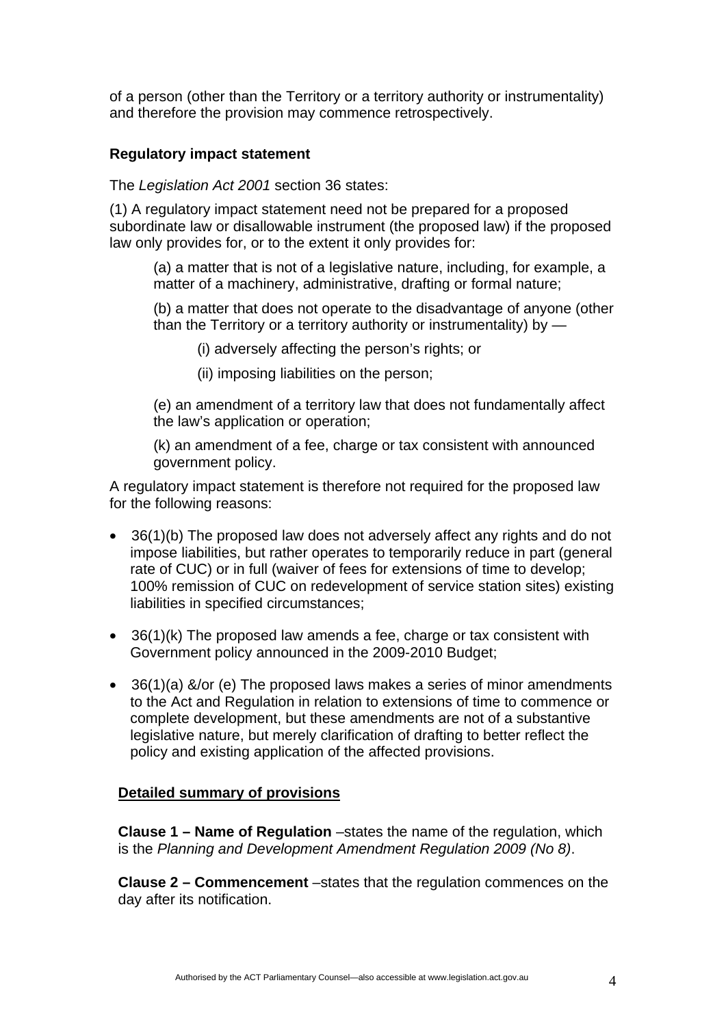of a person (other than the Territory or a territory authority or instrumentality) and therefore the provision may commence retrospectively.

## **Regulatory impact statement**

The *Legislation Act 2001* section 36 states:

(1) A regulatory impact statement need not be prepared for a proposed subordinate law or disallowable instrument (the proposed law) if the proposed law only provides for, or to the extent it only provides for:

(a) a matter that is not of a legislative nature, including, for example, a matter of a machinery, administrative, drafting or formal nature;

(b) a matter that does not operate to the disadvantage of anyone (other than the Territory or a territory authority or instrumentality) by —

(i) adversely affecting the person's rights; or

(ii) imposing liabilities on the person;

(e) an amendment of a territory law that does not fundamentally affect the law's application or operation;

(k) an amendment of a fee, charge or tax consistent with announced government policy.

A regulatory impact statement is therefore not required for the proposed law for the following reasons:

- 36(1)(b) The proposed law does not adversely affect any rights and do not impose liabilities, but rather operates to temporarily reduce in part (general rate of CUC) or in full (waiver of fees for extensions of time to develop; 100% remission of CUC on redevelopment of service station sites) existing liabilities in specified circumstances;
- 36(1)(k) The proposed law amends a fee, charge or tax consistent with Government policy announced in the 2009-2010 Budget;
- 36(1)(a) &/or (e) The proposed laws makes a series of minor amendments to the Act and Regulation in relation to extensions of time to commence or complete development, but these amendments are not of a substantive legislative nature, but merely clarification of drafting to better reflect the policy and existing application of the affected provisions.

## **Detailed summary of provisions**

**Clause 1 – Name of Regulation** –states the name of the regulation, which is the *Planning and Development Amendment Regulation 2009 (No 8)*.

**Clause 2 – Commencement** –states that the regulation commences on the day after its notification.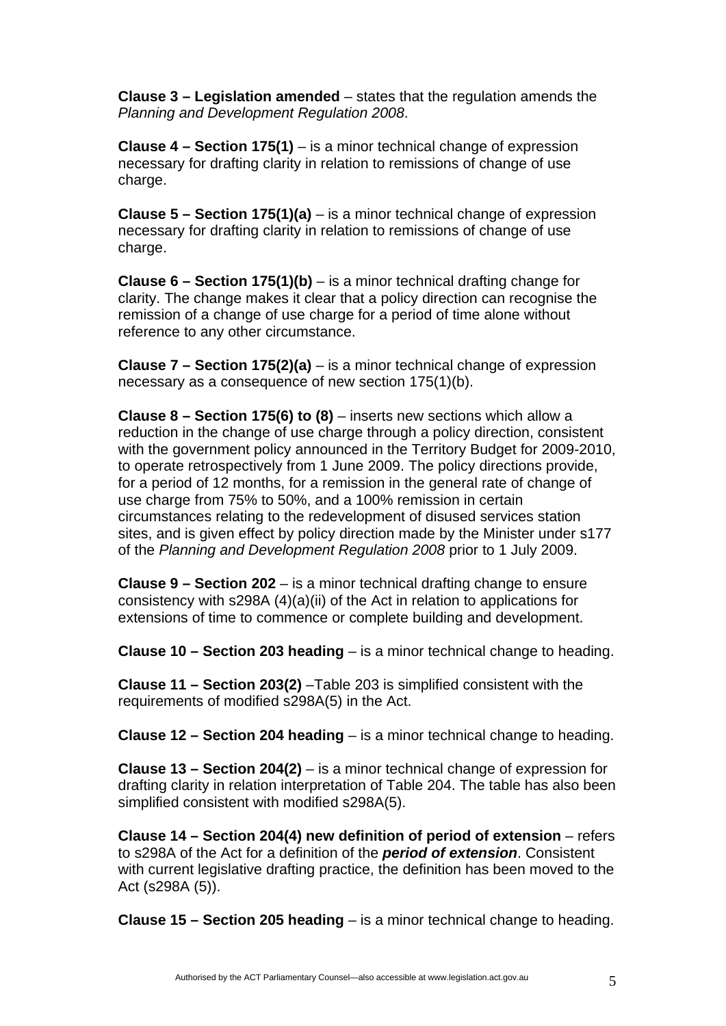**Clause 3 – Legislation amended** – states that the regulation amends the *Planning and Development Regulation 2008*.

**Clause 4 – Section 175(1)** – is a minor technical change of expression necessary for drafting clarity in relation to remissions of change of use charge.

**Clause 5 – Section 175(1)(a)** – is a minor technical change of expression necessary for drafting clarity in relation to remissions of change of use charge.

**Clause 6 – Section 175(1)(b)** – is a minor technical drafting change for clarity. The change makes it clear that a policy direction can recognise the remission of a change of use charge for a period of time alone without reference to any other circumstance.

**Clause 7 – Section 175(2)(a)** – is a minor technical change of expression necessary as a consequence of new section 175(1)(b).

**Clause 8 – Section 175(6) to (8)** – inserts new sections which allow a reduction in the change of use charge through a policy direction, consistent with the government policy announced in the Territory Budget for 2009-2010, to operate retrospectively from 1 June 2009. The policy directions provide, for a period of 12 months, for a remission in the general rate of change of use charge from 75% to 50%, and a 100% remission in certain circumstances relating to the redevelopment of disused services station sites, and is given effect by policy direction made by the Minister under s177 of the *Planning and Development Regulation 2008* prior to 1 July 2009.

**Clause 9 – Section 202** – is a minor technical drafting change to ensure consistency with s298A (4)(a)(ii) of the Act in relation to applications for extensions of time to commence or complete building and development.

**Clause 10 – Section 203 heading** – is a minor technical change to heading.

**Clause 11 – Section 203(2)** –Table 203 is simplified consistent with the requirements of modified s298A(5) in the Act.

**Clause 12 – Section 204 heading** – is a minor technical change to heading.

**Clause 13 – Section 204(2)** – is a minor technical change of expression for drafting clarity in relation interpretation of Table 204. The table has also been simplified consistent with modified s298A(5).

**Clause 14 – Section 204(4) new definition of period of extension** – refers to s298A of the Act for a definition of the *period of extension*. Consistent with current legislative drafting practice, the definition has been moved to the Act (s298A (5)).

**Clause 15 – Section 205 heading** – is a minor technical change to heading.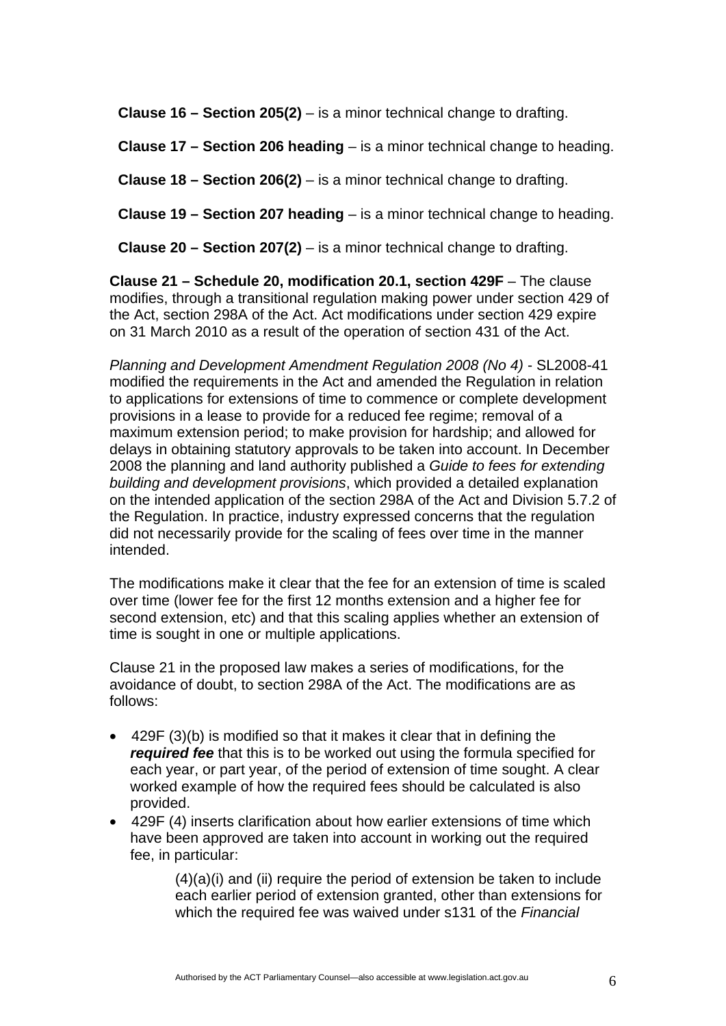**Clause 16 – Section 205(2)** – is a minor technical change to drafting.

**Clause 17 – Section 206 heading** – is a minor technical change to heading.

**Clause 18 – Section 206(2)** – is a minor technical change to drafting.

**Clause 19 – Section 207 heading** – is a minor technical change to heading.

**Clause 20 – Section 207(2)** – is a minor technical change to drafting.

**Clause 21 – Schedule 20, modification 20.1, section 429F – The clause** modifies, through a transitional regulation making power under section 429 of the Act, section 298A of the Act. Act modifications under section 429 expire on 31 March 2010 as a result of the operation of section 431 of the Act.

*Planning and Development Amendment Regulation 2008 (No 4)* - SL2008-41 modified the requirements in the Act and amended the Regulation in relation to applications for extensions of time to commence or complete development provisions in a lease to provide for a reduced fee regime; removal of a maximum extension period; to make provision for hardship; and allowed for delays in obtaining statutory approvals to be taken into account. In December 2008 the planning and land authority published a *Guide to fees for extending building and development provisions*, which provided a detailed explanation on the intended application of the section 298A of the Act and Division 5.7.2 of the Regulation. In practice, industry expressed concerns that the regulation did not necessarily provide for the scaling of fees over time in the manner intended.

The modifications make it clear that the fee for an extension of time is scaled over time (lower fee for the first 12 months extension and a higher fee for second extension, etc) and that this scaling applies whether an extension of time is sought in one or multiple applications.

Clause 21 in the proposed law makes a series of modifications, for the avoidance of doubt, to section 298A of the Act. The modifications are as follows:

- 429F (3)(b) is modified so that it makes it clear that in defining the *required fee* that this is to be worked out using the formula specified for each year, or part year, of the period of extension of time sought. A clear worked example of how the required fees should be calculated is also provided.
- 429F (4) inserts clarification about how earlier extensions of time which have been approved are taken into account in working out the required fee, in particular:

 $(4)(a)(i)$  and (ii) require the period of extension be taken to include each earlier period of extension granted, other than extensions for which the required fee was waived under s131 of the *Financial*